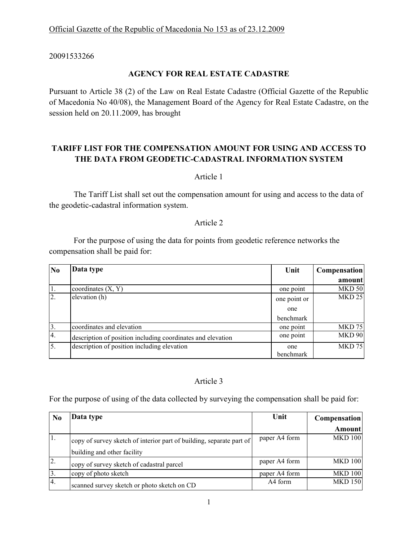20091533266

## **AGENCY FOR REAL ESTATE CADASTRE**

Pursuant to Article 38 (2) of the Law on Real Estate Cadastre (Official Gazette of the Republic of Macedonia No 40/08), the Management Board of the Agency for Real Estate Cadastre, on the session held on 20.11.2009, has brought

# **TARIFF LIST FOR THE COMPENSATION AMOUNT FOR USING AND ACCESS TO THE DATA FROM GEODETIC-CADASTRAL INFORMATION SYSTEM**

Article 1

 The Tariff List shall set out the compensation amount for using and access to the data of the geodetic-cadastral information system.

### Article 2

 For the purpose of using the data for points from geodetic reference networks the compensation shall be paid for:

| N <sub>0</sub>   | Data type                                                   | Unit         | <b>Compensation</b> |
|------------------|-------------------------------------------------------------|--------------|---------------------|
|                  |                                                             |              | amount              |
|                  | coordinates $(X, Y)$                                        | one point    | <b>MKD 50</b>       |
| $\overline{2}$ . | elevation (h)                                               | one point or | <b>MKD 25</b>       |
|                  |                                                             | one          |                     |
|                  |                                                             | benchmark    |                     |
| 3.               | coordinates and elevation                                   | one point    | <b>MKD 75</b>       |
| 4.               | description of position including coordinates and elevation | one point    | <b>MKD 90</b>       |
| 5.               | description of position including elevation                 | one          | <b>MKD 75</b>       |
|                  |                                                             | benchmark    |                     |

## Article 3

For the purpose of using of the data collected by surveying the compensation shall be paid for:

| No            | Data type                                                            | Unit          | <b>Compensation</b> |
|---------------|----------------------------------------------------------------------|---------------|---------------------|
|               |                                                                      |               | <b>Amount</b>       |
| 1.            | copy of survey sketch of interior part of building, separate part of | paper A4 form | <b>MKD 100</b>      |
|               | building and other facility                                          |               |                     |
| 2.            | copy of survey sketch of cadastral parcel                            | paper A4 form | <b>MKD 100</b>      |
| <sup>3.</sup> | copy of photo sketch                                                 | paper A4 form | <b>MKD 100</b>      |
| 14.           | scanned survey sketch or photo sketch on CD                          | A4 form       | <b>MKD 150</b>      |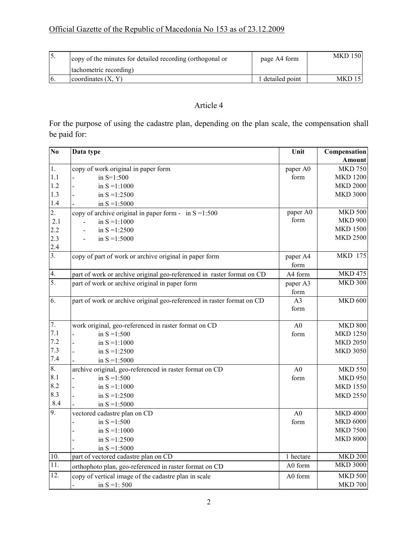| 15. | copy of the minutes for detailed recording (orthogonal or | page A4 form     | <b>MKD 150</b> |
|-----|-----------------------------------------------------------|------------------|----------------|
|     | tachometric recording)                                    |                  |                |
| 16. | coordinates $(X, Y)$                                      | l detailed point | MKD 15         |

# Article 4

For the purpose of using the cadastre plan, depending on the plan scale, the compensation shall be paid for:

| $\overline{No}$   | Data type                                                              | Unit           | Compensation    |
|-------------------|------------------------------------------------------------------------|----------------|-----------------|
|                   |                                                                        |                | Amount          |
| 1.                | copy of work original in paper form                                    | paper A0       | <b>MKD 750</b>  |
| 1.1               | in $S=1:500$                                                           | form           | <b>MKD 1200</b> |
| 1.2               | in $S = 1:1000$                                                        |                | <b>MKD 2000</b> |
| 1.3               | in $S = 1:2500$                                                        |                | <b>MKD 3000</b> |
| 1.4               | in $S = 1:5000$                                                        |                |                 |
| 2.                | copy of archive original in paper form - in $S = 1:500$                | paper A0       | MKD $500$       |
| 2.1               | in $S = 1:1000$                                                        | form           | <b>MKD 900</b>  |
| 2.2               | in $S = 1:2500$                                                        |                | <b>MKD 1500</b> |
| 2.3               | in $S = 1:5000$                                                        |                | <b>MKD 2500</b> |
| $2.4\,$           |                                                                        |                |                 |
| $\overline{3}$ .  | copy of part of work or archive original in paper form                 | paper A4       | <b>MKD 175</b>  |
|                   |                                                                        | form           |                 |
| 4.                | part of work or archive original geo-referenced in raster format on CD | A4 form        | <b>MKD 475</b>  |
| 5.                | part of work or archive original in paper form                         | paper A3       | <b>MKD 300</b>  |
|                   |                                                                        | form           |                 |
| 6.                | part of work or archive original geo-referenced in raster format on CD | A <sub>3</sub> | <b>MKD 600</b>  |
|                   |                                                                        | form           |                 |
|                   |                                                                        |                |                 |
| 7.                | work original, geo-referenced in raster format on CD                   | A <sub>0</sub> | <b>MKD 800</b>  |
| 7.1               | in $S = 1:500$                                                         | form           | <b>MKD 1250</b> |
| 7.2               | in $S = 1:1000$                                                        |                | <b>MKD 2050</b> |
| 7.3               | in $S = 1:2500$                                                        |                | <b>MKD 3050</b> |
| $7.4\,$           | in $S = 1:5000$                                                        |                |                 |
| 8.                | archive original, geo-referenced in raster format on CD                | A <sub>0</sub> | <b>MKD 550</b>  |
| 8.1               | in $S = 1:500$                                                         | form           | <b>MKD 950</b>  |
| 8.2               | in $S = 1:1000$                                                        |                | <b>MKD 1550</b> |
| 8.3               | in $S = 1:2500$                                                        |                | <b>MKD 2550</b> |
| 8.4               | in $S = 1:5000$                                                        |                |                 |
| 9.                | vectored cadastre plan on CD                                           | A <sub>0</sub> | <b>MKD 4000</b> |
|                   | in $S = 1:500$                                                         | form           | <b>MKD 6000</b> |
|                   | in $S = 1:1000$                                                        |                | <b>MKD 7500</b> |
|                   | in $S = 1:2500$                                                        |                | <b>MKD 8000</b> |
|                   | in $S = 1:5000$                                                        |                |                 |
| 10.               | part of vectored cadastre plan on CD                                   | 1 hectare      | <b>MKD 200</b>  |
| 11.               | orthophoto plan, geo-referenced in raster format on CD                 | A0 form        | <b>MKD 3000</b> |
| $\overline{12}$ . | copy of vertical image of the cadastre plan in scale                   | A0 form        | <b>MKD 500</b>  |
|                   | in $S = 1:500$                                                         |                | <b>MKD 700</b>  |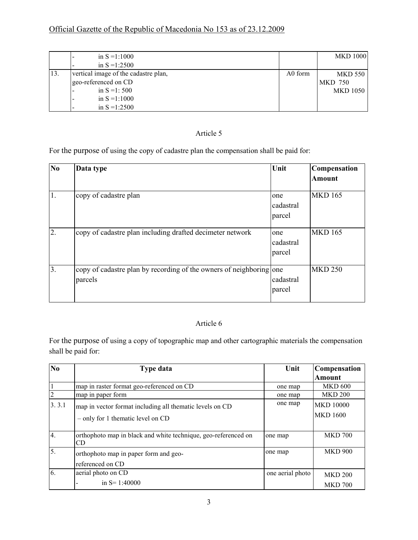# Official Gazette of the Republic of Macedonia No 153 as of 23.12.2009

|     | in $S = 1:1000$                      |         | <b>MKD 1000</b> |
|-----|--------------------------------------|---------|-----------------|
|     | in $S = 1:2500$                      |         |                 |
| 13. | vertical image of the cadastre plan, | A0 form | <b>MKD 550</b>  |
|     | geo-referenced on CD                 |         | MKD 750         |
|     | in $S = 1:500$                       |         | MKD 1050        |
|     | in $S = 1:1000$                      |         |                 |
|     | in $S = 1:2500$                      |         |                 |

# Article 5

For the purpose of using the copy of cadastre plan the compensation shall be paid for:

| N <sub>0</sub> | Data type                                                                      | Unit                       | <b>Compensation</b> |
|----------------|--------------------------------------------------------------------------------|----------------------------|---------------------|
|                |                                                                                |                            | <b>Amount</b>       |
| 1.             | copy of cadastre plan                                                          | one<br>cadastral<br>parcel | <b>MKD 165</b>      |
| 2.             | copy of cadastre plan including drafted decimeter network                      | one<br>cadastral<br>parcel | <b>MKD 165</b>      |
| 3.             | copy of cadastre plan by recording of the owners of neighboring one<br>parcels | cadastral<br>parcel        | <b>MKD 250</b>      |

### Article 6

For the purpose of using a copy of topographic map and other cartographic materials the compensation shall be paid for:

| No             | <b>Type data</b>                                                     | Unit             | <b>Compensation</b> |
|----------------|----------------------------------------------------------------------|------------------|---------------------|
|                |                                                                      |                  | Amount              |
|                | map in raster format geo-referenced on CD                            | one map          | <b>MKD 600</b>      |
| $\overline{2}$ | map in paper form                                                    | one map          | <b>MKD 200</b>      |
| 3.3.1          | map in vector format including all thematic levels on CD             | one map          | <b>MKD 10000</b>    |
|                | $-$ only for 1 thematic level on CD                                  |                  | <b>MKD 1600</b>     |
| 4.             | orthophoto map in black and white technique, geo-referenced on<br>CD | one map          | <b>MKD 700</b>      |
| 5.             | orthophoto map in paper form and geo-                                | one map          | <b>MKD 900</b>      |
|                | referenced on CD                                                     |                  |                     |
| 6.             | aerial photo on CD                                                   | one aerial photo | <b>MKD 200</b>      |
|                | in $S = 1:40000$                                                     |                  | <b>MKD 700</b>      |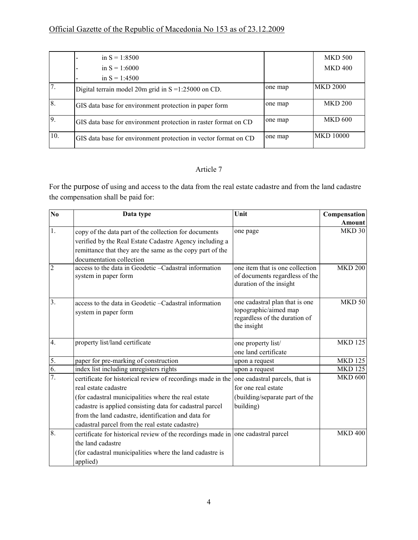# Official Gazette of the Republic of Macedonia No 153 as of 23.12.2009

|                   | in $S = 1:8500$                                                 |         | <b>MKD 500</b>   |
|-------------------|-----------------------------------------------------------------|---------|------------------|
|                   | in $S = 1:6000$                                                 |         | <b>MKD 400</b>   |
|                   | in $S = 1:4500$                                                 |         |                  |
| 17.               | Digital terrain model 20m grid in $S = 1:25000$ on CD.          | one map | <b>MKD 2000</b>  |
| 8                 | GIS data base for environment protection in paper form          | one map | <b>MKD 200</b>   |
| $\overline{9}$    | GIS data base for environment protection in raster format on CD | one map | <b>MKD 600</b>   |
| $\overline{10}$ . | GIS data base for environment protection in vector format on CD | one map | <b>MKD 10000</b> |

## Article 7

For the purpose of using and access to the data from the real estate cadastre and from the land cadastre the compensation shall be paid for:

| $\mathbf{N}\mathbf{0}$ | Data type                                                                                                                                                                                                 | Unit                                                                                                    | Compensation   |
|------------------------|-----------------------------------------------------------------------------------------------------------------------------------------------------------------------------------------------------------|---------------------------------------------------------------------------------------------------------|----------------|
|                        |                                                                                                                                                                                                           |                                                                                                         | <b>Amount</b>  |
| 1.                     | copy of the data part of the collection for documents<br>verified by the Real Estate Cadastre Agency including a<br>remittance that they are the same as the copy part of the<br>documentation collection | one page                                                                                                | <b>MKD 30</b>  |
| $\overline{2}$         | access to the data in Geodetic -Cadastral information<br>system in paper form                                                                                                                             | one item that is one collection<br>of documents regardless of the<br>duration of the insight            | <b>MKD 200</b> |
| $\overline{3}$ .       | access to the data in Geodetic -Cadastral information<br>system in paper form                                                                                                                             | one cadastral plan that is one<br>topographic/aimed map<br>regardless of the duration of<br>the insight | <b>MKD 50</b>  |
| $\overline{4}$ .       | property list/land certificate                                                                                                                                                                            | one property list/<br>one land certificate                                                              | <b>MKD 125</b> |
| 5.                     | paper for pre-marking of construction                                                                                                                                                                     | upon a request                                                                                          | <b>MKD 125</b> |
| 6.                     | index list including unregisters rights                                                                                                                                                                   | upon a request                                                                                          | <b>MKD 125</b> |
| 7.                     | certificate for historical review of recordings made in the                                                                                                                                               | one cadastral parcels, that is                                                                          | <b>MKD 600</b> |
|                        | real estate cadastre                                                                                                                                                                                      | for one real estate                                                                                     |                |
|                        | (for cadastral municipalities where the real estate                                                                                                                                                       | (building/separate part of the                                                                          |                |
|                        | cadastre is applied consisting data for cadastral parcel                                                                                                                                                  | building)                                                                                               |                |
|                        | from the land cadastre, identification and data for                                                                                                                                                       |                                                                                                         |                |
|                        | cadastral parcel from the real estate cadastre)                                                                                                                                                           |                                                                                                         |                |
| 8.                     | certificate for historical review of the recordings made in one cadastral parcel                                                                                                                          |                                                                                                         | <b>MKD 400</b> |
|                        | the land cadastre                                                                                                                                                                                         |                                                                                                         |                |
|                        | (for cadastral municipalities where the land cadastre is                                                                                                                                                  |                                                                                                         |                |
|                        | applied)                                                                                                                                                                                                  |                                                                                                         |                |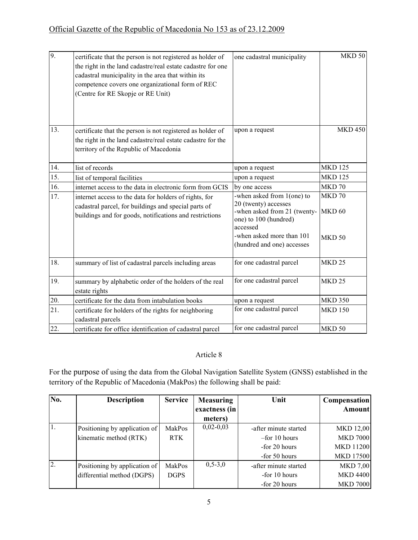| 9.  | certificate that the person is not registered as holder of<br>the right in the land cadastre/real estate cadastre for one<br>cadastral municipality in the area that within its<br>competence covers one organizational form of REC<br>(Centre for RE Skopje or RE Unit) | one cadastral municipality                                                                                              | $MKD$ 50                    |
|-----|--------------------------------------------------------------------------------------------------------------------------------------------------------------------------------------------------------------------------------------------------------------------------|-------------------------------------------------------------------------------------------------------------------------|-----------------------------|
| 13. | certificate that the person is not registered as holder of<br>the right in the land cadastre/real estate cadastre for the<br>territory of the Republic of Macedonia                                                                                                      | upon a request                                                                                                          | <b>MKD 450</b>              |
| 14. | list of records                                                                                                                                                                                                                                                          | upon a request                                                                                                          | <b>MKD 125</b>              |
| 15. | list of temporal facilities                                                                                                                                                                                                                                              | upon a request                                                                                                          | <b>MKD 125</b>              |
| 16. | internet access to the data in electronic form from GCIS                                                                                                                                                                                                                 | by one access                                                                                                           | MKD 70                      |
| 17. | internet access to the data for holders of rights, for<br>cadastral parcel, for buildings and special parts of<br>buildings and for goods, notifications and restrictions                                                                                                | -when asked from 1(one) to<br>20 (twenty) accesses<br>-when asked from 21 (twenty-<br>one) to 100 (hundred)<br>accessed | MKD 70<br>MKD <sub>60</sub> |
|     |                                                                                                                                                                                                                                                                          | -when asked more than 101<br>(hundred and one) accesses                                                                 | <b>MKD 50</b>               |
| 18. | summary of list of cadastral parcels including areas                                                                                                                                                                                                                     | for one cadastral parcel                                                                                                | <b>MKD 25</b>               |
| 19. | summary by alphabetic order of the holders of the real<br>estate rights                                                                                                                                                                                                  | for one cadastral parcel                                                                                                | <b>MKD 25</b>               |
| 20. | certificate for the data from intabulation books                                                                                                                                                                                                                         | upon a request                                                                                                          | <b>MKD 350</b>              |
| 21. | certificate for holders of the rights for neighboring<br>cadastral parcels                                                                                                                                                                                               | for one cadastral parcel                                                                                                | <b>MKD 150</b>              |
| 22. | certificate for office identification of cadastral parcel                                                                                                                                                                                                                | for one cadastral parcel                                                                                                | <b>MKD 50</b>               |

## Article 8

For the purpose of using the data from the Global Navigation Satellite System (GNSS) established in the territory of the Republic of Macedonia (MakPos) the following shall be paid:

| $\overline{\text{No}}$ . | <b>Description</b>            | <b>Service</b> | <b>Measuring</b> | Unit                  | <b>Compensation</b> |
|--------------------------|-------------------------------|----------------|------------------|-----------------------|---------------------|
|                          |                               |                | exactness (in    |                       | Amount              |
|                          |                               |                | meters)          |                       |                     |
| 1.                       | Positioning by application of | MakPos         | $0,02-0,03$      | -after minute started | <b>MKD 12,00</b>    |
|                          | kinematic method (RTK)        | <b>RTK</b>     |                  | $-$ for 10 hours      | <b>MKD 7000</b>     |
|                          |                               |                |                  | -for 20 hours         | <b>MKD 11200</b>    |
|                          |                               |                |                  | -for 50 hours         | <b>MKD 17500</b>    |
| 2.                       | Positioning by application of | MakPos         | $0, 5 - 3, 0$    | -after minute started | <b>MKD 7,00</b>     |
|                          | differential method (DGPS)    | <b>DGPS</b>    |                  | -for 10 hours         | <b>MKD 4400</b>     |
|                          |                               |                |                  | -for 20 hours         | <b>MKD 7000</b>     |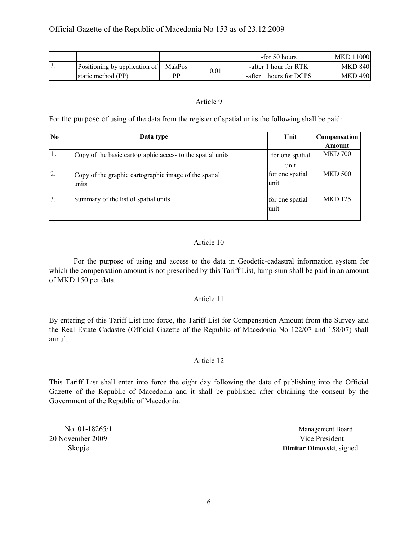|     |                               |        |      | -for 50 hours           | <b>MKD 11000</b> |
|-----|-------------------------------|--------|------|-------------------------|------------------|
| IJ. | Positioning by application of | MakPos | 0,01 | -after 1 hour for RTK   | <b>MKD 840</b>   |
|     | static method (PP)            | РP     |      | -after 1 hours for DGPS | <b>MKD 490</b>   |

### Article 9

For the purpose of using of the data from the register of spatial units the following shall be paid:

| N <sub>0</sub> | Data type                                                  | Unit            | Compensation   |
|----------------|------------------------------------------------------------|-----------------|----------------|
|                |                                                            |                 | Amount         |
| $\mathbf{1}$ . | Copy of the basic cartographic access to the spatial units | for one spatial | <b>MKD 700</b> |
|                |                                                            | unit            |                |
| 2.             | Copy of the graphic cartographic image of the spatial      | for one spatial | <b>MKD 500</b> |
|                | units                                                      | unit            |                |
|                |                                                            |                 |                |
| $\overline{3}$ | Summary of the list of spatial units                       | for one spatial | <b>MKD</b> 125 |
|                |                                                            | unit            |                |
|                |                                                            |                 |                |

## Article 10

 For the purpose of using and access to the data in Geodetic-cadastral information system for which the compensation amount is not prescribed by this Tariff List, lump-sum shall be paid in an amount of MKD 150 per data.

### Article 11

By entering of this Tariff List into force, the Tariff List for Compensation Amount from the Survey and the Real Estate Cadastre (Official Gazette of the Republic of Macedonia No 122/07 and 158/07) shall annul.

### Article 12

This Tariff List shall enter into force the eight day following the date of publishing into the Official Gazette of the Republic of Macedonia and it shall be published after obtaining the consent by the Government of the Republic of Macedonia.

20 November 2009 Vice President

No. 01-18265/1 Management Board Skopje **Dimitar Dimovski**, signed